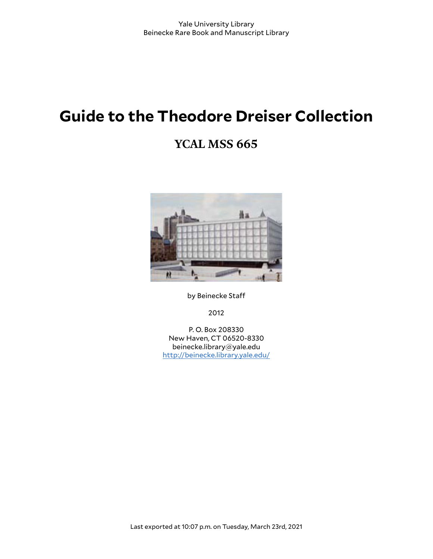# **Guide to the Theodore Dreiser Collection**

## **YCAL MSS 665**



by Beinecke Staff

2012

P. O. Box 208330 New Haven, CT 06520-8330 beinecke.library@yale.edu <http://beinecke.library.yale.edu/>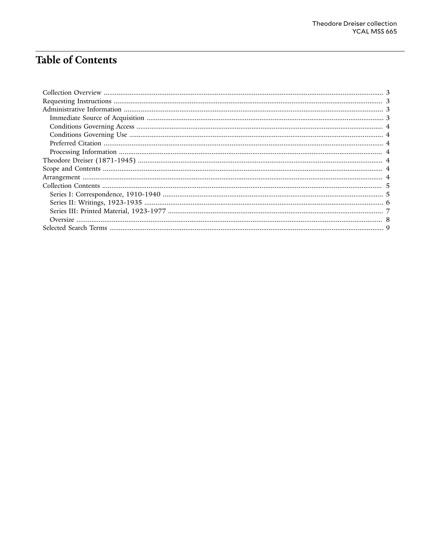## **Table of Contents**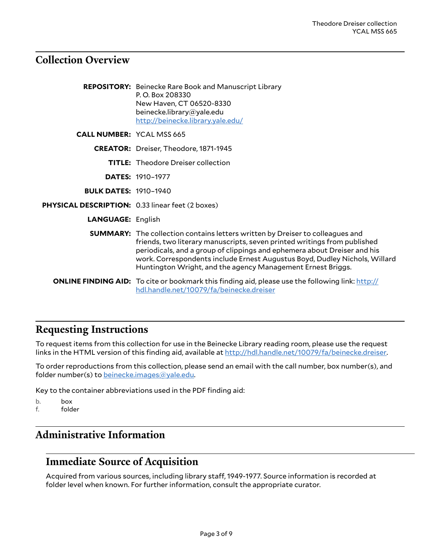#### <span id="page-2-0"></span>**Collection Overview**

|                                                  | <b>REPOSITORY:</b> Beinecke Rare Book and Manuscript Library<br>P.O. Box 208330<br>New Haven, CT 06520-8330<br>beinecke.library@yale.edu<br>http://beinecke.library.yale.edu/                                                                                                                                                                                                             |
|--------------------------------------------------|-------------------------------------------------------------------------------------------------------------------------------------------------------------------------------------------------------------------------------------------------------------------------------------------------------------------------------------------------------------------------------------------|
| <b>CALL NUMBER: YCAL MSS 665</b>                 |                                                                                                                                                                                                                                                                                                                                                                                           |
|                                                  | <b>CREATOR:</b> Dreiser, Theodore, 1871-1945                                                                                                                                                                                                                                                                                                                                              |
|                                                  | <b>TITLE:</b> Theodore Dreiser collection                                                                                                                                                                                                                                                                                                                                                 |
|                                                  | <b>DATES: 1910-1977</b>                                                                                                                                                                                                                                                                                                                                                                   |
| <b>BULK DATES: 1910-1940</b>                     |                                                                                                                                                                                                                                                                                                                                                                                           |
| PHYSICAL DESCRIPTION: 0.33 linear feet (2 boxes) |                                                                                                                                                                                                                                                                                                                                                                                           |
| <b>LANGUAGE: English</b>                         |                                                                                                                                                                                                                                                                                                                                                                                           |
|                                                  | <b>SUMMARY:</b> The collection contains letters written by Dreiser to colleagues and<br>friends, two literary manuscripts, seven printed writings from published<br>periodicals, and a group of clippings and ephemera about Dreiser and his<br>work. Correspondents include Ernest Augustus Boyd, Dudley Nichols, Willard<br>Huntington Wright, and the agency Management Ernest Briggs. |
|                                                  | <b>ONLINE FINDING AID:</b> To cite or bookmark this finding aid, please use the following link: http://<br>hdl.handle.net/10079/fa/beinecke.dreiser                                                                                                                                                                                                                                       |

#### <span id="page-2-1"></span>**Requesting Instructions**

To request items from this collection for use in the Beinecke Library reading room, please use the request links in the HTML version of this finding aid, available at [http://hdl.handle.net/10079/fa/beinecke.dreiser.](http://hdl.handle.net/10079/fa/beinecke.dreiser)

To order reproductions from this collection, please send an email with the call number, box number(s), and folder number(s) to [beinecke.images@yale.edu.](mailto:beinecke.images@yale.edu)

Key to the container abbreviations used in the PDF finding aid:

b. box f. folder

#### <span id="page-2-2"></span>**Administrative Information**

#### <span id="page-2-3"></span>**Immediate Source of Acquisition**

Acquired from various sources, including library staff, 1949-1977. Source information is recorded at folder level when known. For further information, consult the appropriate curator.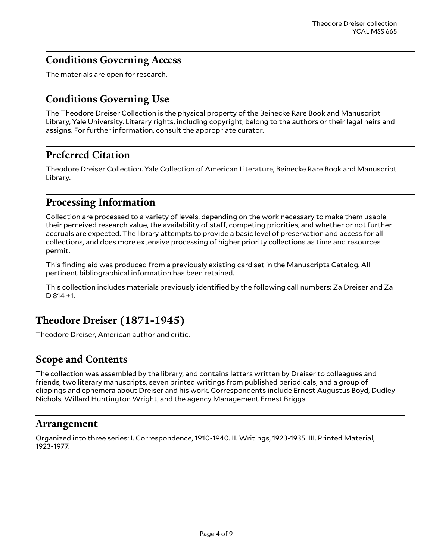#### <span id="page-3-0"></span>**Conditions Governing Access**

The materials are open for research.

#### <span id="page-3-1"></span>**Conditions Governing Use**

The Theodore Dreiser Collection is the physical property of the Beinecke Rare Book and Manuscript Library, Yale University. Literary rights, including copyright, belong to the authors or their legal heirs and assigns. For further information, consult the appropriate curator.

### <span id="page-3-2"></span>**Preferred Citation**

Theodore Dreiser Collection. Yale Collection of American Literature, Beinecke Rare Book and Manuscript Library.

#### <span id="page-3-3"></span>**Processing Information**

Collection are processed to a variety of levels, depending on the work necessary to make them usable, their perceived research value, the availability of staff, competing priorities, and whether or not further accruals are expected. The library attempts to provide a basic level of preservation and access for all collections, and does more extensive processing of higher priority collections as time and resources permit.

This finding aid was produced from a previously existing card set in the Manuscripts Catalog. All pertinent bibliographical information has been retained.

This collection includes materials previously identified by the following call numbers: Za Dreiser and Za D 814 +1.

#### <span id="page-3-4"></span>**Theodore Dreiser (1871-1945)**

Theodore Dreiser, American author and critic.

#### <span id="page-3-5"></span>**Scope and Contents**

The collection was assembled by the library, and contains letters written by Dreiser to colleagues and friends, two literary manuscripts, seven printed writings from published periodicals, and a group of clippings and ephemera about Dreiser and his work. Correspondents include Ernest Augustus Boyd, Dudley Nichols, Willard Huntington Wright, and the agency Management Ernest Briggs.

#### <span id="page-3-6"></span>**Arrangement**

Organized into three series: I. Correspondence, 1910-1940. II. Writings, 1923-1935. III. Printed Material, 1923-1977.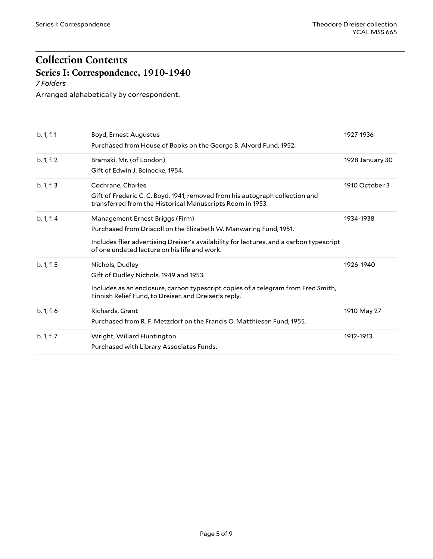## <span id="page-4-0"></span>**Collection Contents Series I: Correspondence, 1910-1940**

<span id="page-4-1"></span>*7 Folders*

Arranged alphabetically by correspondent.

| b. 1, f. 1 | Boyd, Ernest Augustus<br>Purchased from House of Books on the George B. Alvord Fund, 1952.                                                                                                                                                      | 1927-1936       |
|------------|-------------------------------------------------------------------------------------------------------------------------------------------------------------------------------------------------------------------------------------------------|-----------------|
| b. 1, f. 2 | Bramski, Mr. (of London)<br>Gift of Edwin J. Beinecke, 1954.                                                                                                                                                                                    | 1928 January 30 |
| b. 1, f. 3 | Cochrane, Charles<br>Gift of Frederic C. C. Boyd, 1941; removed from his autograph collection and<br>transferred from the Historical Manuscripts Room in 1953.                                                                                  | 1910 October 3  |
| b. 1, f. 4 | Management Ernest Briggs (Firm)<br>Purchased from Driscoll on the Elizabeth W. Manwaring Fund, 1951.<br>Includes flier advertising Dreiser's availability for lectures, and a carbon typescript<br>of one undated lecture on his life and work. | 1934-1938       |
| b. 1, f. 5 | Nichols, Dudley<br>Gift of Dudley Nichols, 1949 and 1953.<br>Includes as an enclosure, carbon typescript copies of a telegram from Fred Smith,<br>Finnish Relief Fund, to Dreiser, and Dreiser's reply.                                         | 1926-1940       |
| b. 1, f. 6 | Richards, Grant<br>Purchased from R. F. Metzdorf on the Francis O. Matthiesen Fund, 1955.                                                                                                                                                       | 1910 May 27     |
| b. 1, f. 7 | Wright, Willard Huntington<br>Purchased with Library Associates Funds.                                                                                                                                                                          | 1912-1913       |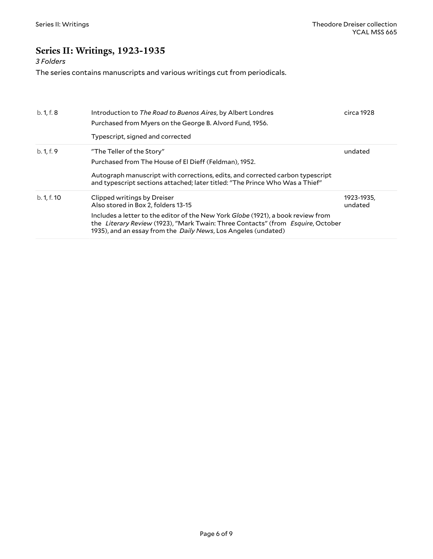### <span id="page-5-0"></span>**Series II: Writings, 1923-1935**

#### *3 Folders*

The series contains manuscripts and various writings cut from periodicals.

| b. 1, f. 8  | Introduction to The Road to Buenos Aires, by Albert Londres<br>Purchased from Myers on the George B. Alvord Fund, 1956.<br>Typescript, signed and corrected                                                                                   | circa 1928            |
|-------------|-----------------------------------------------------------------------------------------------------------------------------------------------------------------------------------------------------------------------------------------------|-----------------------|
| b. 1, f. 9  | "The Teller of the Story"                                                                                                                                                                                                                     | undated               |
|             | Purchased from The House of El Dieff (Feldman), 1952.                                                                                                                                                                                         |                       |
|             | Autograph manuscript with corrections, edits, and corrected carbon typescript<br>and typescript sections attached; later titled: "The Prince Who Was a Thief"                                                                                 |                       |
| b. 1, f. 10 | Clipped writings by Dreiser<br>Also stored in Box 2, folders 13-15                                                                                                                                                                            | 1923-1935,<br>undated |
|             | Includes a letter to the editor of the New York Globe (1921), a book review from<br>the Literary Review (1923), "Mark Twain: Three Contacts" (from Esquire, October<br>1935), and an essay from the <i>Daily News</i> , Los Angeles (undated) |                       |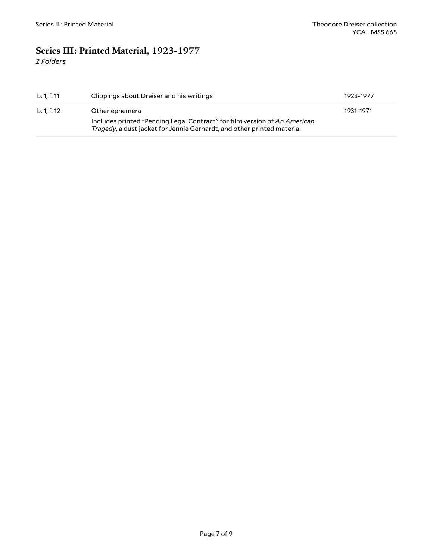### <span id="page-6-0"></span>**Series III: Printed Material, 1923-1977**

*2 Folders*

| b. 1. f. 11 | Clippings about Dreiser and his writings                                                                                                            | 1923-1977 |
|-------------|-----------------------------------------------------------------------------------------------------------------------------------------------------|-----------|
| b. 1, f. 12 | Other ephemera                                                                                                                                      | 1931-1971 |
|             | Includes printed "Pending Legal Contract" for film version of An American<br>Tragedy, a dust jacket for Jennie Gerhardt, and other printed material |           |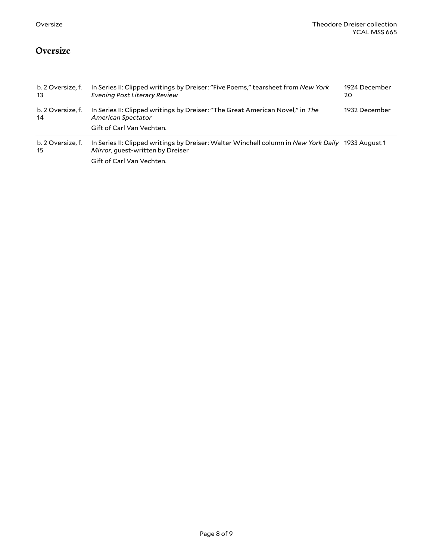#### <span id="page-7-0"></span>**Oversize**

| b. 2 Oversize, f.<br>-13 | In Series II: Clipped writings by Dreiser: "Five Poems," tearsheet from New York<br>Evening Post Literary Review                      | 1924 December<br>20 |
|--------------------------|---------------------------------------------------------------------------------------------------------------------------------------|---------------------|
| b. 2 Oversize, f.<br>14  | In Series II: Clipped writings by Dreiser: "The Great American Novel," in The<br>American Spectator                                   | 1932 December       |
|                          | Gift of Carl Van Vechten.                                                                                                             |                     |
| b. 2 Oversize, f.<br>15  | In Series II: Clipped writings by Dreiser: Walter Winchell column in New York Daily 1933 August 1<br>Mirror, quest-written by Dreiser |                     |
|                          | Gift of Carl Van Vechten.                                                                                                             |                     |